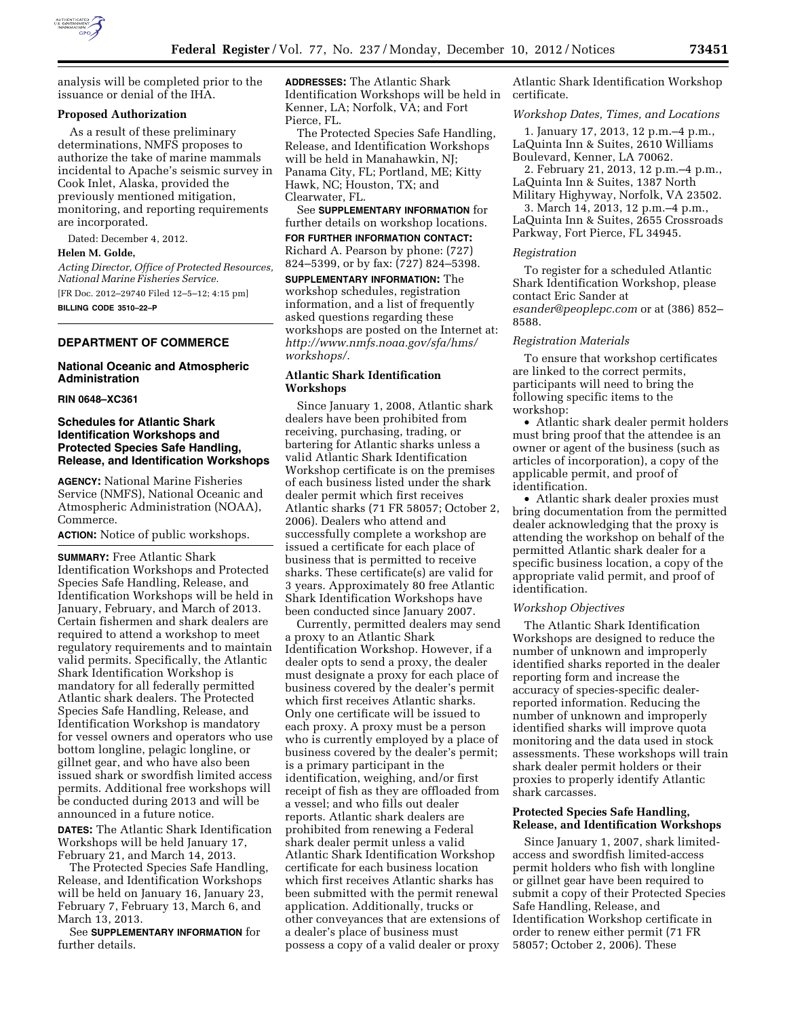

analysis will be completed prior to the issuance or denial of the IHA.

# **Proposed Authorization**

As a result of these preliminary determinations, NMFS proposes to authorize the take of marine mammals incidental to Apache's seismic survey in Cook Inlet, Alaska, provided the previously mentioned mitigation, monitoring, and reporting requirements are incorporated.

Dated: December 4, 2012.

## **Helen M. Golde,**

*Acting Director, Office of Protected Resources, National Marine Fisheries Service.* 

[FR Doc. 2012–29740 Filed 12–5–12; 4:15 pm] **BILLING CODE 3510–22–P** 

# **DEPARTMENT OF COMMERCE**

# **National Oceanic and Atmospheric Administration**

**RIN 0648–XC361** 

# **Schedules for Atlantic Shark Identification Workshops and Protected Species Safe Handling, Release, and Identification Workshops**

**AGENCY:** National Marine Fisheries Service (NMFS), National Oceanic and Atmospheric Administration (NOAA), Commerce.

**ACTION:** Notice of public workshops.

**SUMMARY:** Free Atlantic Shark Identification Workshops and Protected Species Safe Handling, Release, and Identification Workshops will be held in January, February, and March of 2013. Certain fishermen and shark dealers are required to attend a workshop to meet regulatory requirements and to maintain valid permits. Specifically, the Atlantic Shark Identification Workshop is mandatory for all federally permitted Atlantic shark dealers. The Protected Species Safe Handling, Release, and Identification Workshop is mandatory for vessel owners and operators who use bottom longline, pelagic longline, or gillnet gear, and who have also been issued shark or swordfish limited access permits. Additional free workshops will be conducted during 2013 and will be announced in a future notice.

**DATES:** The Atlantic Shark Identification Workshops will be held January 17, February 21, and March 14, 2013.

The Protected Species Safe Handling, Release, and Identification Workshops will be held on January 16, January 23, February 7, February 13, March 6, and March 13, 2013.

See **SUPPLEMENTARY INFORMATION** for further details.

**ADDRESSES:** The Atlantic Shark Identification Workshops will be held in Kenner, LA; Norfolk, VA; and Fort Pierce, FL.

The Protected Species Safe Handling, Release, and Identification Workshops will be held in Manahawkin, NJ; Panama City, FL; Portland, ME; Kitty Hawk, NC; Houston, TX; and Clearwater, FL.

See **SUPPLEMENTARY INFORMATION** for further details on workshop locations.

**FOR FURTHER INFORMATION CONTACT:**  Richard A. Pearson by phone: (727) 824–5399, or by fax: (727) 824–5398.

**SUPPLEMENTARY INFORMATION:** The workshop schedules, registration information, and a list of frequently asked questions regarding these workshops are posted on the Internet at: *[http://www.nmfs.noaa.gov/sfa/hms/](http://www.nmfs.noaa.gov/sfa/hms/workshops/)  [workshops/.](http://www.nmfs.noaa.gov/sfa/hms/workshops/)* 

# **Atlantic Shark Identification Workshops**

Since January 1, 2008, Atlantic shark dealers have been prohibited from receiving, purchasing, trading, or bartering for Atlantic sharks unless a valid Atlantic Shark Identification Workshop certificate is on the premises of each business listed under the shark dealer permit which first receives Atlantic sharks (71 FR 58057; October 2, 2006). Dealers who attend and successfully complete a workshop are issued a certificate for each place of business that is permitted to receive sharks. These certificate(s) are valid for 3 years. Approximately 80 free Atlantic Shark Identification Workshops have been conducted since January 2007.

Currently, permitted dealers may send a proxy to an Atlantic Shark Identification Workshop. However, if a dealer opts to send a proxy, the dealer must designate a proxy for each place of business covered by the dealer's permit which first receives Atlantic sharks. Only one certificate will be issued to each proxy. A proxy must be a person who is currently employed by a place of business covered by the dealer's permit; is a primary participant in the identification, weighing, and/or first receipt of fish as they are offloaded from a vessel; and who fills out dealer reports. Atlantic shark dealers are prohibited from renewing a Federal shark dealer permit unless a valid Atlantic Shark Identification Workshop certificate for each business location which first receives Atlantic sharks has been submitted with the permit renewal application. Additionally, trucks or other conveyances that are extensions of a dealer's place of business must possess a copy of a valid dealer or proxy

Atlantic Shark Identification Workshop certificate.

# *Workshop Dates, Times, and Locations*

1. January 17, 2013, 12 p.m.–4 p.m., LaQuinta Inn & Suites, 2610 Williams Boulevard, Kenner, LA 70062.

2. February 21, 2013, 12 p.m.–4 p.m., LaQuinta Inn & Suites, 1387 North Military Highyway, Norfolk, VA 23502.

3. March 14, 2013, 12 p.m.–4 p.m., LaQuinta Inn & Suites, 2655 Crossroads Parkway, Fort Pierce, FL 34945.

#### *Registration*

To register for a scheduled Atlantic Shark Identification Workshop, please contact Eric Sander at *[esander@peoplepc.com](mailto:esander@peoplepc.com)* or at (386) 852– 8588.

#### *Registration Materials*

To ensure that workshop certificates are linked to the correct permits, participants will need to bring the following specific items to the workshop:

• Atlantic shark dealer permit holders must bring proof that the attendee is an owner or agent of the business (such as articles of incorporation), a copy of the applicable permit, and proof of identification.

• Atlantic shark dealer proxies must bring documentation from the permitted dealer acknowledging that the proxy is attending the workshop on behalf of the permitted Atlantic shark dealer for a specific business location, a copy of the appropriate valid permit, and proof of identification.

# *Workshop Objectives*

The Atlantic Shark Identification Workshops are designed to reduce the number of unknown and improperly identified sharks reported in the dealer reporting form and increase the accuracy of species-specific dealerreported information. Reducing the number of unknown and improperly identified sharks will improve quota monitoring and the data used in stock assessments. These workshops will train shark dealer permit holders or their proxies to properly identify Atlantic shark carcasses.

# **Protected Species Safe Handling, Release, and Identification Workshops**

Since January 1, 2007, shark limitedaccess and swordfish limited-access permit holders who fish with longline or gillnet gear have been required to submit a copy of their Protected Species Safe Handling, Release, and Identification Workshop certificate in order to renew either permit (71 FR 58057; October 2, 2006). These